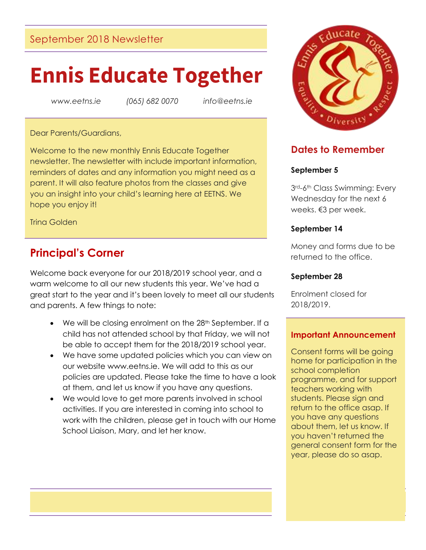## September 2018 Newsletter

# **Ennis Educate Together**

*www.eetns.ie (065) 682 0070 info@eetns.ie*

#### Dear Parents/Guardians,

Welcome to the new monthly Ennis Educate Together newsletter. The newsletter with include important information, reminders of dates and any information you might need as a parent. It will also feature photos from the classes and give you an insight into your child's learning here at EETNS. We hope you enjoy it!

Trina Golden

# **Principal's Corner**

Welcome back everyone for our 2018/2019 school year, and a warm welcome to all our new students this year. We've had a great start to the year and it's been lovely to meet all our students and parents. A few things to note:

- We will be closing enrolment on the 28<sup>th</sup> September. If a child has not attended school by that Friday, we will not be able to accept them for the 2018/2019 school year.
- We have some updated policies which you can view on our website www.eetns.ie. We will add to this as our policies are updated. Please take the time to have a look at them, and let us know if you have any questions.
- We would love to get more parents involved in school activities. If you are interested in coming into school to work with the children, please get in touch with our Home School Liaison, Mary, and let her know.



## **Dates to Remember**

## **September 5**

3rd-6th Class Swimming: Every Wednesday for the next 6 weeks. €3 per week.

#### **September 14**

Money and forms due to be returned to the office.

#### **September 28**

Enrolment closed for 2018/2019.

## **Important Announcement**

Consent forms will be going home for participation in the school completion programme, and for support teachers working with students. Please sign and return to the office asap. If you have any questions about them, let us know. If you haven't returned the general consent form for the year, please do so asap.